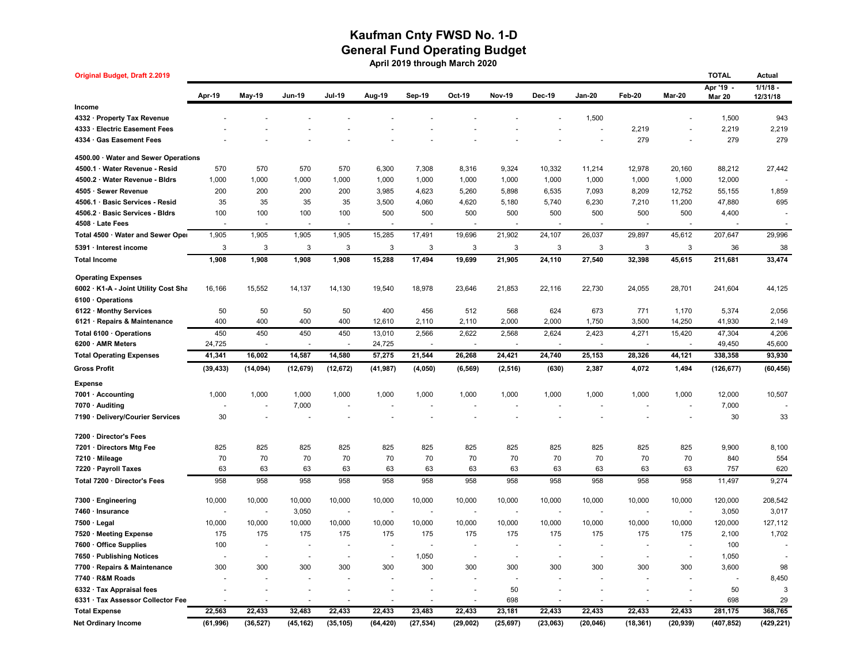## **Kaufman Cnty FWSD No. 1-D General Fund Operating Budget April 2019 through March 2020**

| <b>Original Budget, Draft 2.2019</b> |                          |                          |                          |                          |                          |                          |                |               |                          |               |                          |                          | <b>TOTAL</b>             | Actual     |
|--------------------------------------|--------------------------|--------------------------|--------------------------|--------------------------|--------------------------|--------------------------|----------------|---------------|--------------------------|---------------|--------------------------|--------------------------|--------------------------|------------|
|                                      | Apr-19                   |                          | <b>Jun-19</b>            | <b>Jul-19</b>            | Aug-19                   | Sep-19                   | Oct-19         | <b>Nov-19</b> | Dec-19                   | <b>Jan-20</b> | Feb-20                   | Mar-20                   | Apr '19 -                | $1/1/18$ - |
| Income                               |                          | <b>May-19</b>            |                          |                          |                          |                          |                |               |                          |               |                          |                          | <b>Mar 20</b>            | 12/31/18   |
| 4332 · Property Tax Revenue          |                          |                          |                          |                          |                          |                          |                |               |                          | 1,500         |                          |                          | 1,500                    | 943        |
| 4333 · Electric Easement Fees        |                          |                          |                          |                          |                          |                          |                |               |                          |               | 2,219                    |                          | 2,219                    | 2,219      |
| 4334 · Gas Easement Fees             |                          |                          |                          |                          |                          |                          |                |               |                          |               | 279                      |                          | 279                      | 279        |
|                                      |                          |                          |                          |                          |                          |                          |                |               |                          |               |                          |                          |                          |            |
| 4500.00 Water and Sewer Operations   |                          |                          |                          |                          |                          |                          |                |               |                          |               |                          |                          |                          |            |
| 4500.1 · Water Revenue - Resid       | 570                      | 570                      | 570                      | 570                      | 6,300                    | 7,308                    | 8,316          | 9,324         | 10,332                   | 11,214        | 12,978                   | 20,160                   | 88,212                   | 27,442     |
| 4500.2 · Water Revenue - Bldrs       | 1,000                    | 1,000                    | 1,000                    | 1,000                    | 1,000                    | 1,000                    | 1,000          | 1,000         | 1,000                    | 1,000         | 1,000                    | 1,000                    | 12,000                   |            |
| 4505 · Sewer Revenue                 | 200                      | 200                      | 200                      | 200                      | 3,985                    | 4,623                    | 5,260          | 5,898         | 6,535                    | 7,093         | 8,209                    | 12,752                   | 55,155                   | 1,859      |
| 4506.1 · Basic Services - Resid      | 35                       | 35                       | 35                       | 35                       | 3,500                    | 4,060                    | 4,620          | 5,180         | 5,740                    | 6,230         | 7,210                    | 11,200                   | 47,880                   | 695        |
| 4506.2 · Basic Services - Bldrs      | 100                      | 100                      | 100                      | 100                      | 500                      | 500                      | 500            | 500           | 500                      | 500           | 500                      | 500                      | 4,400                    |            |
| 4508 · Late Fees                     |                          |                          |                          |                          |                          |                          |                |               |                          |               |                          |                          |                          |            |
| Total 4500 · Water and Sewer Oper    | 1,905                    | 1,905                    | 1,905                    | 1,905                    | 15,285                   | 17,491                   | 19,696         | 21,902        | 24,107                   | 26,037        | 29,897                   | 45,612                   | 207,647                  | 29,996     |
| 5391 · Interest income               | 3                        | 3                        | 3                        | 3                        | 3                        | 3                        | 3              | 3             | 3                        | 3             | 3                        | 3                        | 36                       | 38         |
| <b>Total Income</b>                  | 1,908                    | 1,908                    | 1,908                    | 1,908                    | 15,288                   | 17,494                   | 19,699         | 21,905        | 24,110                   | 27,540        | 32,398                   | 45,615                   | 211,681                  | 33,474     |
| <b>Operating Expenses</b>            |                          |                          |                          |                          |                          |                          |                |               |                          |               |                          |                          |                          |            |
| 6002 · K1-A - Joint Utility Cost Sha | 16,166                   | 15,552                   | 14,137                   | 14,130                   | 19,540                   | 18,978                   | 23,646         | 21,853        | 22,116                   | 22,730        | 24,055                   | 28,701                   | 241,604                  | 44,125     |
| 6100 · Operations                    |                          |                          |                          |                          |                          |                          |                |               |                          |               |                          |                          |                          |            |
| 6122 · Monthy Services               | 50                       | 50                       | 50                       | 50                       | 400                      | 456                      | 512            | 568           | 624                      | 673           | 771                      | 1,170                    | 5,374                    | 2,056      |
| 6121 · Repairs & Maintenance         | 400                      | 400                      | 400                      | 400                      | 12,610                   | 2,110                    | 2,110          | 2,000         | 2,000                    | 1,750         | 3,500                    | 14,250                   | 41,930                   | 2,149      |
| Total 6100 · Operations              | 450                      | 450                      | 450                      | 450                      | 13,010                   | 2,566                    | 2,622          | 2,568         | 2,624                    | 2,423         | 4,271                    | 15,420                   | 47,304                   | 4,206      |
| 6200 · AMR Meters                    | 24,725                   | $\overline{\phantom{a}}$ | $\overline{\phantom{a}}$ | $\blacksquare$           | 24,725                   | $\overline{\phantom{a}}$ | $\sim$         |               |                          | $\sim$        |                          |                          | 49,450                   | 45,600     |
| <b>Total Operating Expenses</b>      | 41,341                   | 16,002                   | 14,587                   | 14,580                   | 57,275                   | 21,544                   | 26,268         | 24,421        | 24,740                   | 25,153        | 28,326                   | 44,121                   | 338,358                  | 93,930     |
| <b>Gross Profit</b>                  | (39, 433)                | (14, 094)                | (12, 679)                | (12, 672)                | (41, 987)                | (4,050)                  | (6, 569)       | (2, 516)      | (630)                    | 2,387         | 4,072                    | 1,494                    | (126, 677)               | (60, 456)  |
| <b>Expense</b>                       |                          |                          |                          |                          |                          |                          |                |               |                          |               |                          |                          |                          |            |
| 7001 · Accounting                    | 1,000                    | 1,000                    | 1,000                    | 1,000                    | 1,000                    | 1,000                    | 1,000          | 1,000         | 1,000                    | 1,000         | 1,000                    | 1,000                    | 12,000                   | 10,507     |
| 7070 · Auditing                      |                          |                          | 7,000                    |                          |                          |                          |                |               |                          |               |                          |                          | 7,000                    |            |
| 7190 · Delivery/Courier Services     | 30                       |                          |                          |                          |                          |                          |                |               |                          |               |                          |                          | 30                       | 33         |
| 7200 · Director's Fees               |                          |                          |                          |                          |                          |                          |                |               |                          |               |                          |                          |                          |            |
| 7201 · Directors Mtg Fee             | 825                      | 825                      | 825                      | 825                      | 825                      | 825                      | 825            | 825           | 825                      | 825           | 825                      | 825                      | 9,900                    | 8,100      |
| 7210 · Mileage                       | 70                       | 70                       | 70                       | 70                       | 70                       | 70                       | 70             | 70            | 70                       | 70            | 70                       | 70                       | 840                      | 554        |
| 7220 · Payroll Taxes                 | 63                       | 63                       | 63                       | 63                       | 63                       | 63                       | 63             | 63            | 63                       | 63            | 63                       | 63                       | 757                      | 620        |
| Total 7200 · Director's Fees         | 958                      | 958                      | 958                      | 958                      | 958                      | 958                      | 958            | 958           | 958                      | 958           | 958                      | 958                      | 11,497                   | 9,274      |
| 7300 · Engineering                   | 10,000                   | 10,000                   | 10,000                   | 10,000                   | 10,000                   | 10,000                   | 10,000         | 10,000        | 10,000                   | 10,000        | 10,000                   | 10,000                   | 120,000                  | 208,542    |
| 7460 · Insurance                     |                          |                          | 3,050                    | $\sim$                   |                          |                          | ÷,             |               |                          | $\sim$        |                          | $\overline{\phantom{a}}$ | 3,050                    | 3,017      |
| $7500 \cdot$ Legal                   | 10,000                   | 10,000                   | 10,000                   | 10,000                   | 10,000                   | 10,000                   | 10,000         | 10,000        | 10,000                   | 10,000        | 10,000                   | 10,000                   | 120,000                  | 127,112    |
| 7520 · Meeting Expense               | 175                      | 175                      | 175                      | 175                      | 175                      | 175                      | 175            | 175           | 175                      | 175           | 175                      | 175                      | 2,100                    | 1,702      |
| 7600 · Office Supplies               | 100                      |                          | ÷                        |                          | $\overline{\phantom{a}}$ |                          |                |               |                          | ٠             |                          |                          | 100                      |            |
| 7650 · Publishing Notices            | $\overline{\phantom{a}}$ | $\overline{\phantom{a}}$ | $\overline{\phantom{a}}$ | $\overline{\phantom{a}}$ | $\sim$                   | 1,050                    | ÷,             | ÷,            | $\overline{\phantom{a}}$ | $\sim$        | $\overline{\phantom{a}}$ | $\sim$                   | 1,050                    | $\sim$     |
| 7700 · Repairs & Maintenance         | 300                      | 300                      | 300                      | 300                      | 300                      | 300                      | 300            | 300           | 300                      | 300           | 300                      | 300                      | 3,600                    | 98         |
| 7740 · R&M Roads                     |                          |                          |                          |                          |                          |                          |                | Ĭ.            |                          |               |                          |                          | $\overline{\phantom{a}}$ | 8,450      |
| 6332 · Tax Appraisal fees            |                          |                          |                          |                          |                          |                          | $\blacksquare$ | 50            |                          |               |                          |                          | 50                       | 3          |
| 6331 · Tax Assessor Collector Fee    |                          |                          |                          |                          |                          |                          | $\blacksquare$ | 698           |                          |               |                          |                          | 698                      | 29         |
| <b>Total Expense</b>                 | 22,563                   | 22,433                   | 32,483                   | 22,433                   | 22,433                   | 23,483                   | 22,433         | 23,181        | 22,433                   | 22,433        | 22,433                   | 22,433                   | 281,175                  | 368,765    |
| <b>Net Ordinary Income</b>           | (61, 996)                | (36, 527)                | (45, 162)                | (35, 105)                | (64, 420)                | (27, 534)                | (29, 002)      | (25, 697)     | (23,063)                 | (20, 046)     | (18, 361)                | (20, 939)                | (407, 852)               | (429, 221) |